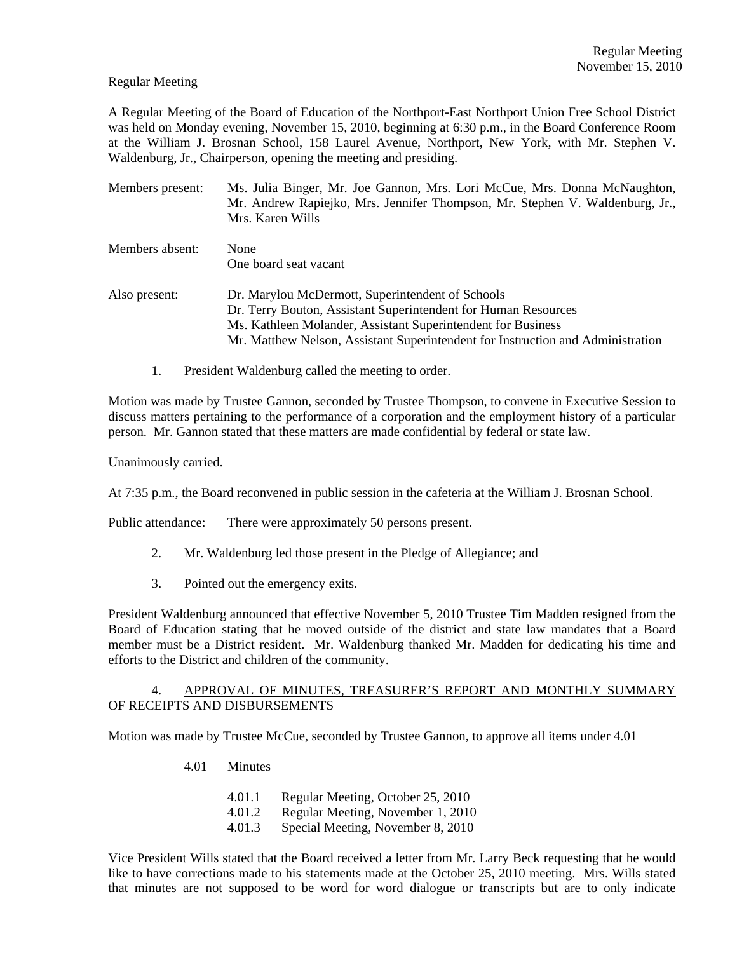### Regular Meeting

A Regular Meeting of the Board of Education of the Northport-East Northport Union Free School District was held on Monday evening, November 15, 2010, beginning at 6:30 p.m., in the Board Conference Room at the William J. Brosnan School, 158 Laurel Avenue, Northport, New York, with Mr. Stephen V. Waldenburg, Jr., Chairperson, opening the meeting and presiding.

| Members present: | Ms. Julia Binger, Mr. Joe Gannon, Mrs. Lori McCue, Mrs. Donna McNaughton,<br>Mr. Andrew Rapiejko, Mrs. Jennifer Thompson, Mr. Stephen V. Waldenburg, Jr.,<br>Mrs. Karen Wills                                                                                         |
|------------------|-----------------------------------------------------------------------------------------------------------------------------------------------------------------------------------------------------------------------------------------------------------------------|
| Members absent:  | <b>None</b><br>One board seat vacant                                                                                                                                                                                                                                  |
| Also present:    | Dr. Marylou McDermott, Superintendent of Schools<br>Dr. Terry Bouton, Assistant Superintendent for Human Resources<br>Ms. Kathleen Molander, Assistant Superintendent for Business<br>Mr. Matthew Nelson, Assistant Superintendent for Instruction and Administration |

1. President Waldenburg called the meeting to order.

Motion was made by Trustee Gannon, seconded by Trustee Thompson, to convene in Executive Session to discuss matters pertaining to the performance of a corporation and the employment history of a particular person. Mr. Gannon stated that these matters are made confidential by federal or state law.

Unanimously carried.

At 7:35 p.m., the Board reconvened in public session in the cafeteria at the William J. Brosnan School.

Public attendance: There were approximately 50 persons present.

- 2. Mr. Waldenburg led those present in the Pledge of Allegiance; and
- 3. Pointed out the emergency exits.

President Waldenburg announced that effective November 5, 2010 Trustee Tim Madden resigned from the Board of Education stating that he moved outside of the district and state law mandates that a Board member must be a District resident. Mr. Waldenburg thanked Mr. Madden for dedicating his time and efforts to the District and children of the community.

## 4. APPROVAL OF MINUTES, TREASURER'S REPORT AND MONTHLY SUMMARY OF RECEIPTS AND DISBURSEMENTS

Motion was made by Trustee McCue, seconded by Trustee Gannon, to approve all items under 4.01

4.01 Minutes

- 4.01.2 Regular Meeting, November 1, 2010
- 4.01.3 Special Meeting, November 8, 2010

Vice President Wills stated that the Board received a letter from Mr. Larry Beck requesting that he would like to have corrections made to his statements made at the October 25, 2010 meeting. Mrs. Wills stated that minutes are not supposed to be word for word dialogue or transcripts but are to only indicate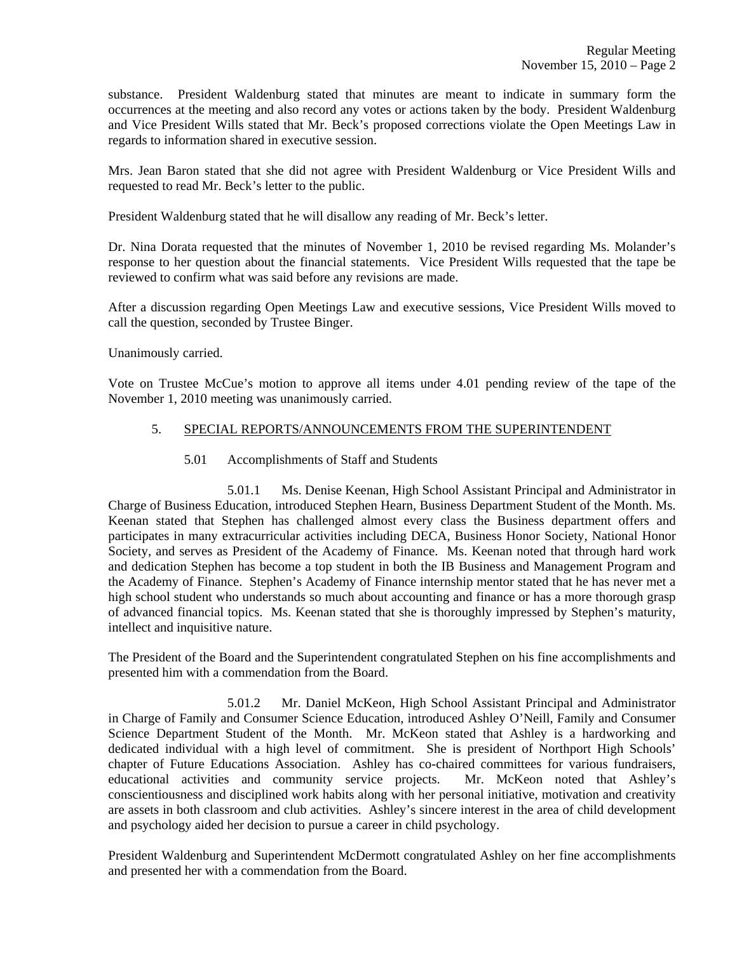substance. President Waldenburg stated that minutes are meant to indicate in summary form the occurrences at the meeting and also record any votes or actions taken by the body. President Waldenburg and Vice President Wills stated that Mr. Beck's proposed corrections violate the Open Meetings Law in regards to information shared in executive session.

Mrs. Jean Baron stated that she did not agree with President Waldenburg or Vice President Wills and requested to read Mr. Beck's letter to the public.

President Waldenburg stated that he will disallow any reading of Mr. Beck's letter.

Dr. Nina Dorata requested that the minutes of November 1, 2010 be revised regarding Ms. Molander's response to her question about the financial statements. Vice President Wills requested that the tape be reviewed to confirm what was said before any revisions are made.

After a discussion regarding Open Meetings Law and executive sessions, Vice President Wills moved to call the question, seconded by Trustee Binger.

Unanimously carried.

Vote on Trustee McCue's motion to approve all items under 4.01 pending review of the tape of the November 1, 2010 meeting was unanimously carried.

# 5. SPECIAL REPORTS/ANNOUNCEMENTS FROM THE SUPERINTENDENT

5.01 Accomplishments of Staff and Students

 5.01.1 Ms. Denise Keenan, High School Assistant Principal and Administrator in Charge of Business Education, introduced Stephen Hearn, Business Department Student of the Month. Ms. Keenan stated that Stephen has challenged almost every class the Business department offers and participates in many extracurricular activities including DECA, Business Honor Society, National Honor Society, and serves as President of the Academy of Finance. Ms. Keenan noted that through hard work and dedication Stephen has become a top student in both the IB Business and Management Program and the Academy of Finance. Stephen's Academy of Finance internship mentor stated that he has never met a high school student who understands so much about accounting and finance or has a more thorough grasp of advanced financial topics. Ms. Keenan stated that she is thoroughly impressed by Stephen's maturity, intellect and inquisitive nature.

The President of the Board and the Superintendent congratulated Stephen on his fine accomplishments and presented him with a commendation from the Board.

 5.01.2 Mr. Daniel McKeon, High School Assistant Principal and Administrator in Charge of Family and Consumer Science Education, introduced Ashley O'Neill, Family and Consumer Science Department Student of the Month. Mr. McKeon stated that Ashley is a hardworking and dedicated individual with a high level of commitment. She is president of Northport High Schools' chapter of Future Educations Association. Ashley has co-chaired committees for various fundraisers, educational activities and community service projects. Mr. McKeon noted that Ashley's conscientiousness and disciplined work habits along with her personal initiative, motivation and creativity are assets in both classroom and club activities. Ashley's sincere interest in the area of child development and psychology aided her decision to pursue a career in child psychology.

President Waldenburg and Superintendent McDermott congratulated Ashley on her fine accomplishments and presented her with a commendation from the Board.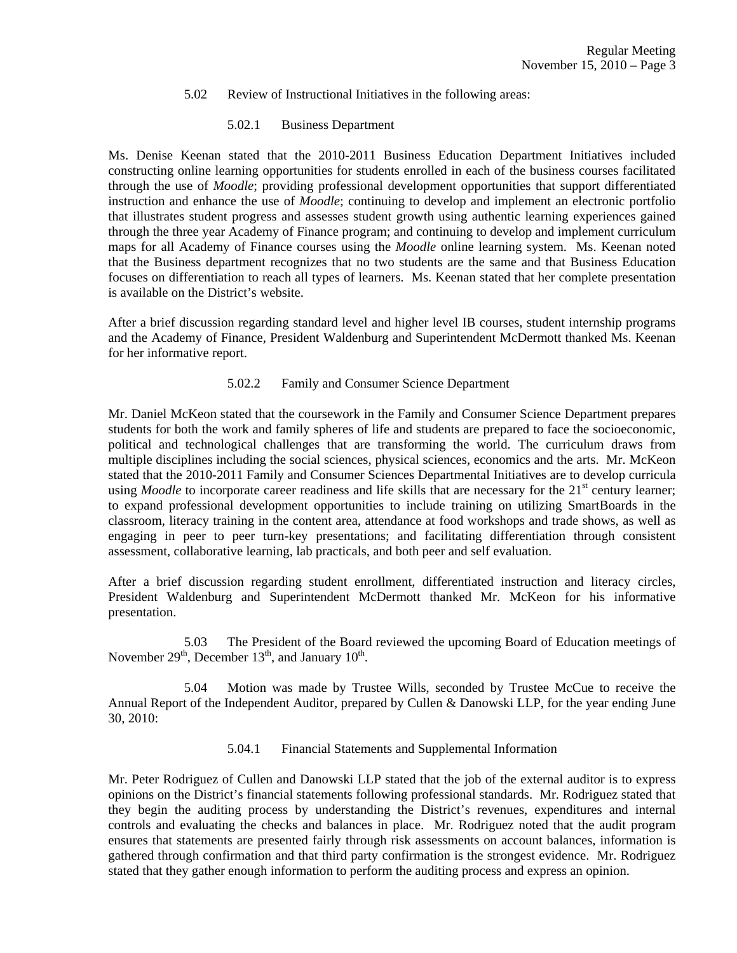#### 5.02 Review of Instructional Initiatives in the following areas:

### 5.02.1 Business Department

Ms. Denise Keenan stated that the 2010-2011 Business Education Department Initiatives included constructing online learning opportunities for students enrolled in each of the business courses facilitated through the use of *Moodle*; providing professional development opportunities that support differentiated instruction and enhance the use of *Moodle*; continuing to develop and implement an electronic portfolio that illustrates student progress and assesses student growth using authentic learning experiences gained through the three year Academy of Finance program; and continuing to develop and implement curriculum maps for all Academy of Finance courses using the *Moodle* online learning system. Ms. Keenan noted that the Business department recognizes that no two students are the same and that Business Education focuses on differentiation to reach all types of learners. Ms. Keenan stated that her complete presentation is available on the District's website.

After a brief discussion regarding standard level and higher level IB courses, student internship programs and the Academy of Finance, President Waldenburg and Superintendent McDermott thanked Ms. Keenan for her informative report.

### 5.02.2 Family and Consumer Science Department

Mr. Daniel McKeon stated that the coursework in the Family and Consumer Science Department prepares students for both the work and family spheres of life and students are prepared to face the socioeconomic, political and technological challenges that are transforming the world. The curriculum draws from multiple disciplines including the social sciences, physical sciences, economics and the arts. Mr. McKeon stated that the 2010-2011 Family and Consumer Sciences Departmental Initiatives are to develop curricula using *Moodle* to incorporate career readiness and life skills that are necessary for the 21<sup>st</sup> century learner; to expand professional development opportunities to include training on utilizing SmartBoards in the classroom, literacy training in the content area, attendance at food workshops and trade shows, as well as engaging in peer to peer turn-key presentations; and facilitating differentiation through consistent assessment, collaborative learning, lab practicals, and both peer and self evaluation.

After a brief discussion regarding student enrollment, differentiated instruction and literacy circles, President Waldenburg and Superintendent McDermott thanked Mr. McKeon for his informative presentation.

 5.03 The President of the Board reviewed the upcoming Board of Education meetings of November  $29<sup>th</sup>$ , December  $13<sup>th</sup>$ , and January  $10<sup>th</sup>$ .

 5.04 Motion was made by Trustee Wills, seconded by Trustee McCue to receive the Annual Report of the Independent Auditor, prepared by Cullen & Danowski LLP, for the year ending June 30, 2010:

5.04.1 Financial Statements and Supplemental Information

Mr. Peter Rodriguez of Cullen and Danowski LLP stated that the job of the external auditor is to express opinions on the District's financial statements following professional standards. Mr. Rodriguez stated that they begin the auditing process by understanding the District's revenues, expenditures and internal controls and evaluating the checks and balances in place. Mr. Rodriguez noted that the audit program ensures that statements are presented fairly through risk assessments on account balances, information is gathered through confirmation and that third party confirmation is the strongest evidence. Mr. Rodriguez stated that they gather enough information to perform the auditing process and express an opinion.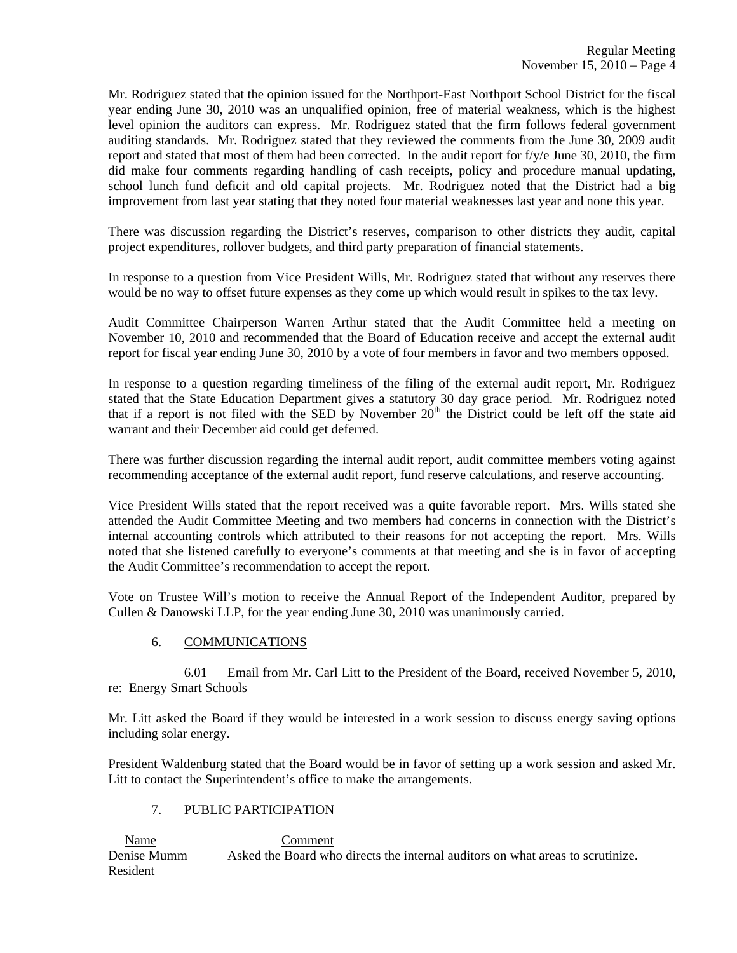Mr. Rodriguez stated that the opinion issued for the Northport-East Northport School District for the fiscal year ending June 30, 2010 was an unqualified opinion, free of material weakness, which is the highest level opinion the auditors can express. Mr. Rodriguez stated that the firm follows federal government auditing standards. Mr. Rodriguez stated that they reviewed the comments from the June 30, 2009 audit report and stated that most of them had been corrected. In the audit report for f/y/e June 30, 2010, the firm did make four comments regarding handling of cash receipts, policy and procedure manual updating, school lunch fund deficit and old capital projects. Mr. Rodriguez noted that the District had a big improvement from last year stating that they noted four material weaknesses last year and none this year.

There was discussion regarding the District's reserves, comparison to other districts they audit, capital project expenditures, rollover budgets, and third party preparation of financial statements.

In response to a question from Vice President Wills, Mr. Rodriguez stated that without any reserves there would be no way to offset future expenses as they come up which would result in spikes to the tax levy.

Audit Committee Chairperson Warren Arthur stated that the Audit Committee held a meeting on November 10, 2010 and recommended that the Board of Education receive and accept the external audit report for fiscal year ending June 30, 2010 by a vote of four members in favor and two members opposed.

In response to a question regarding timeliness of the filing of the external audit report, Mr. Rodriguez stated that the State Education Department gives a statutory 30 day grace period. Mr. Rodriguez noted that if a report is not filed with the SED by November 20<sup>th</sup> the District could be left off the state aid warrant and their December aid could get deferred.

There was further discussion regarding the internal audit report, audit committee members voting against recommending acceptance of the external audit report, fund reserve calculations, and reserve accounting.

Vice President Wills stated that the report received was a quite favorable report. Mrs. Wills stated she attended the Audit Committee Meeting and two members had concerns in connection with the District's internal accounting controls which attributed to their reasons for not accepting the report. Mrs. Wills noted that she listened carefully to everyone's comments at that meeting and she is in favor of accepting the Audit Committee's recommendation to accept the report.

Vote on Trustee Will's motion to receive the Annual Report of the Independent Auditor, prepared by Cullen & Danowski LLP, for the year ending June 30, 2010 was unanimously carried.

# 6. COMMUNICATIONS

 6.01 Email from Mr. Carl Litt to the President of the Board, received November 5, 2010, re: Energy Smart Schools

Mr. Litt asked the Board if they would be interested in a work session to discuss energy saving options including solar energy.

President Waldenburg stated that the Board would be in favor of setting up a work session and asked Mr. Litt to contact the Superintendent's office to make the arrangements.

# 7. PUBLIC PARTICIPATION

 Name Comment Denise Mumm Asked the Board who directs the internal auditors on what areas to scrutinize. Resident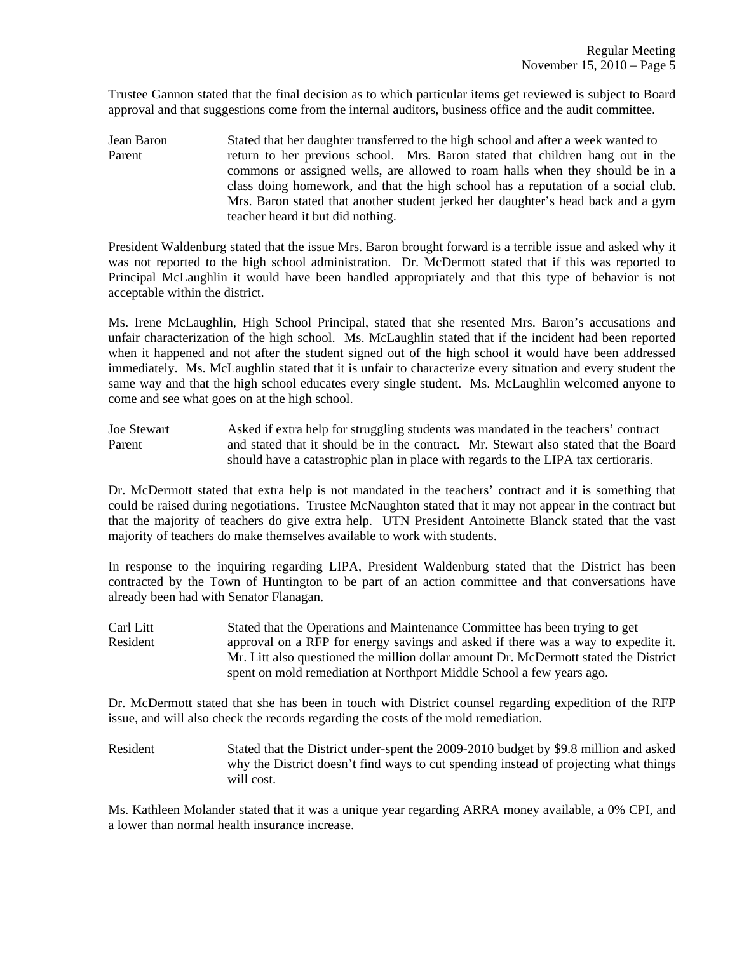Trustee Gannon stated that the final decision as to which particular items get reviewed is subject to Board approval and that suggestions come from the internal auditors, business office and the audit committee.

Jean Baron Stated that her daughter transferred to the high school and after a week wanted to Parent return to her previous school. Mrs. Baron stated that children hang out in the commons or assigned wells, are allowed to roam halls when they should be in a class doing homework, and that the high school has a reputation of a social club. Mrs. Baron stated that another student jerked her daughter's head back and a gym teacher heard it but did nothing.

President Waldenburg stated that the issue Mrs. Baron brought forward is a terrible issue and asked why it was not reported to the high school administration. Dr. McDermott stated that if this was reported to Principal McLaughlin it would have been handled appropriately and that this type of behavior is not acceptable within the district.

Ms. Irene McLaughlin, High School Principal, stated that she resented Mrs. Baron's accusations and unfair characterization of the high school. Ms. McLaughlin stated that if the incident had been reported when it happened and not after the student signed out of the high school it would have been addressed immediately. Ms. McLaughlin stated that it is unfair to characterize every situation and every student the same way and that the high school educates every single student. Ms. McLaughlin welcomed anyone to come and see what goes on at the high school.

Joe Stewart Asked if extra help for struggling students was mandated in the teachers' contract Parent and stated that it should be in the contract. Mr. Stewart also stated that the Board should have a catastrophic plan in place with regards to the LIPA tax certioraris.

Dr. McDermott stated that extra help is not mandated in the teachers' contract and it is something that could be raised during negotiations. Trustee McNaughton stated that it may not appear in the contract but that the majority of teachers do give extra help. UTN President Antoinette Blanck stated that the vast majority of teachers do make themselves available to work with students.

In response to the inquiring regarding LIPA, President Waldenburg stated that the District has been contracted by the Town of Huntington to be part of an action committee and that conversations have already been had with Senator Flanagan.

Carl Litt Stated that the Operations and Maintenance Committee has been trying to get Resident approval on a RFP for energy savings and asked if there was a way to expedite it. Mr. Litt also questioned the million dollar amount Dr. McDermott stated the District spent on mold remediation at Northport Middle School a few years ago.

Dr. McDermott stated that she has been in touch with District counsel regarding expedition of the RFP issue, and will also check the records regarding the costs of the mold remediation.

Resident Stated that the District under-spent the 2009-2010 budget by \$9.8 million and asked why the District doesn't find ways to cut spending instead of projecting what things will cost.

Ms. Kathleen Molander stated that it was a unique year regarding ARRA money available, a 0% CPI, and a lower than normal health insurance increase.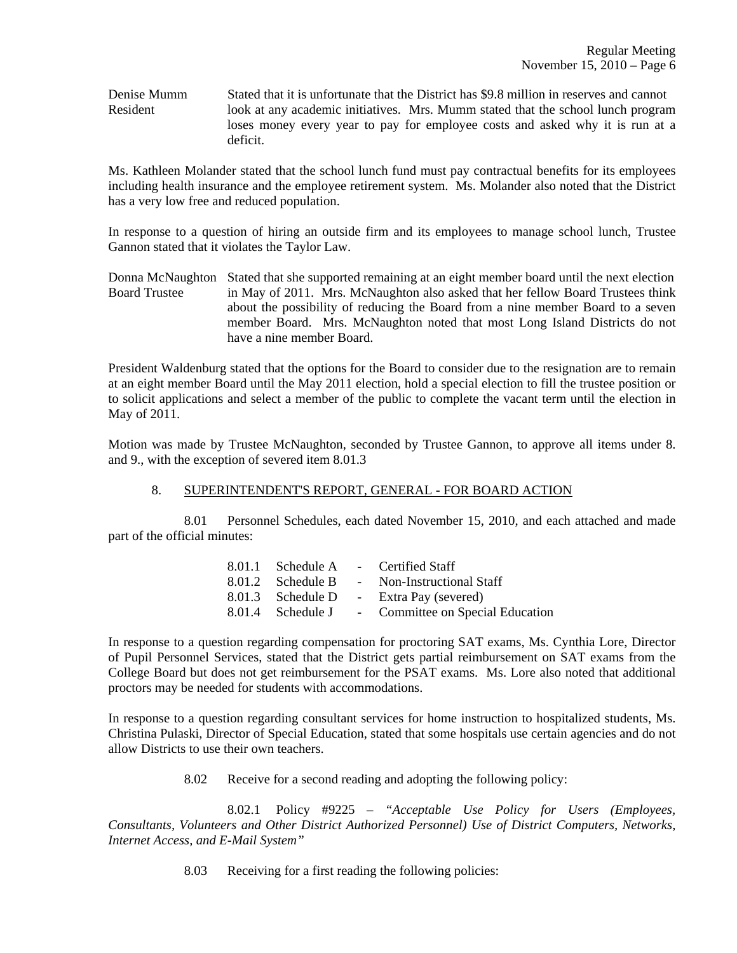Denise Mumm Stated that it is unfortunate that the District has \$9.8 million in reserves and cannot Resident look at any academic initiatives. Mrs. Mumm stated that the school lunch program loses money every year to pay for employee costs and asked why it is run at a deficit.

Ms. Kathleen Molander stated that the school lunch fund must pay contractual benefits for its employees including health insurance and the employee retirement system. Ms. Molander also noted that the District has a very low free and reduced population.

In response to a question of hiring an outside firm and its employees to manage school lunch, Trustee Gannon stated that it violates the Taylor Law.

Donna McNaughton Stated that she supported remaining at an eight member board until the next election Board Trustee in May of 2011. Mrs. McNaughton also asked that her fellow Board Trustees think about the possibility of reducing the Board from a nine member Board to a seven member Board. Mrs. McNaughton noted that most Long Island Districts do not have a nine member Board.

President Waldenburg stated that the options for the Board to consider due to the resignation are to remain at an eight member Board until the May 2011 election, hold a special election to fill the trustee position or to solicit applications and select a member of the public to complete the vacant term until the election in May of 2011.

Motion was made by Trustee McNaughton, seconded by Trustee Gannon, to approve all items under 8. and 9., with the exception of severed item 8.01.3

# 8. SUPERINTENDENT'S REPORT, GENERAL - FOR BOARD ACTION

 8.01 Personnel Schedules, each dated November 15, 2010, and each attached and made part of the official minutes:

|                   | 8.01.1 Schedule A - Certified Staff                |
|-------------------|----------------------------------------------------|
| 8.01.2 Schedule B | - Non-Instructional Staff                          |
| 8.01.3 Schedule D | - Extra Pay (severed)                              |
|                   | 8.01.4 Schedule J - Committee on Special Education |

In response to a question regarding compensation for proctoring SAT exams, Ms. Cynthia Lore, Director of Pupil Personnel Services, stated that the District gets partial reimbursement on SAT exams from the College Board but does not get reimbursement for the PSAT exams. Ms. Lore also noted that additional proctors may be needed for students with accommodations.

In response to a question regarding consultant services for home instruction to hospitalized students, Ms. Christina Pulaski, Director of Special Education, stated that some hospitals use certain agencies and do not allow Districts to use their own teachers.

8.02 Receive for a second reading and adopting the following policy:

 8.02.1 Policy #9225 – *"Acceptable Use Policy for Users (Employees, Consultants, Volunteers and Other District Authorized Personnel) Use of District Computers, Networks, Internet Access, and E-Mail System"*

8.03 Receiving for a first reading the following policies: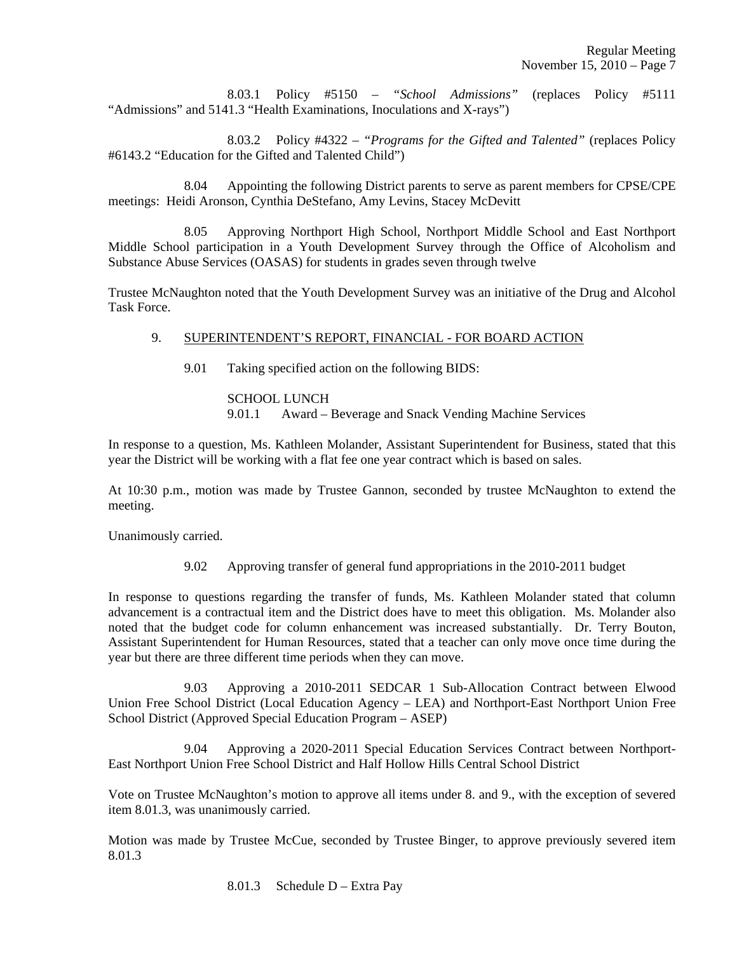8.03.1 Policy #5150 – *"School Admissions"* (replaces Policy #5111 "Admissions" and 5141.3 "Health Examinations, Inoculations and X-rays")

 8.03.2 Policy #4322 – *"Programs for the Gifted and Talented"* (replaces Policy #6143.2 "Education for the Gifted and Talented Child")

 8.04 Appointing the following District parents to serve as parent members for CPSE/CPE meetings: Heidi Aronson, Cynthia DeStefano, Amy Levins, Stacey McDevitt

 8.05 Approving Northport High School, Northport Middle School and East Northport Middle School participation in a Youth Development Survey through the Office of Alcoholism and Substance Abuse Services (OASAS) for students in grades seven through twelve

Trustee McNaughton noted that the Youth Development Survey was an initiative of the Drug and Alcohol Task Force.

# 9. SUPERINTENDENT'S REPORT, FINANCIAL - FOR BOARD ACTION

9.01 Taking specified action on the following BIDS:

### SCHOOL LUNCH

9.01.1 Award – Beverage and Snack Vending Machine Services

In response to a question, Ms. Kathleen Molander, Assistant Superintendent for Business, stated that this year the District will be working with a flat fee one year contract which is based on sales.

At 10:30 p.m., motion was made by Trustee Gannon, seconded by trustee McNaughton to extend the meeting.

Unanimously carried.

9.02 Approving transfer of general fund appropriations in the 2010-2011 budget

In response to questions regarding the transfer of funds, Ms. Kathleen Molander stated that column advancement is a contractual item and the District does have to meet this obligation. Ms. Molander also noted that the budget code for column enhancement was increased substantially. Dr. Terry Bouton, Assistant Superintendent for Human Resources, stated that a teacher can only move once time during the year but there are three different time periods when they can move.

 9.03 Approving a 2010-2011 SEDCAR 1 Sub-Allocation Contract between Elwood Union Free School District (Local Education Agency – LEA) and Northport-East Northport Union Free School District (Approved Special Education Program – ASEP)

 9.04 Approving a 2020-2011 Special Education Services Contract between Northport-East Northport Union Free School District and Half Hollow Hills Central School District

Vote on Trustee McNaughton's motion to approve all items under 8. and 9., with the exception of severed item 8.01.3, was unanimously carried.

Motion was made by Trustee McCue, seconded by Trustee Binger, to approve previously severed item 8.01.3

8.01.3 Schedule D – Extra Pay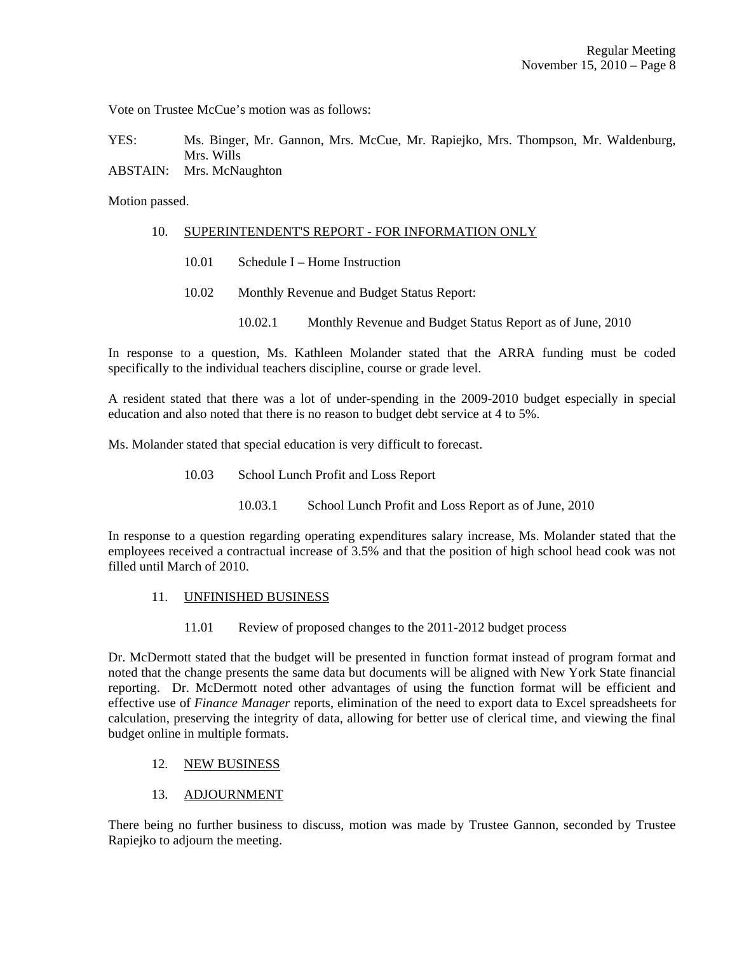Vote on Trustee McCue's motion was as follows:

YES: Ms. Binger, Mr. Gannon, Mrs. McCue, Mr. Rapiejko, Mrs. Thompson, Mr. Waldenburg, Mrs. Wills ABSTAIN: Mrs. McNaughton

Motion passed.

#### 10. SUPERINTENDENT'S REPORT - FOR INFORMATION ONLY

- 10.01 Schedule I Home Instruction
- 10.02 Monthly Revenue and Budget Status Report:
	- 10.02.1 Monthly Revenue and Budget Status Report as of June, 2010

In response to a question, Ms. Kathleen Molander stated that the ARRA funding must be coded specifically to the individual teachers discipline, course or grade level.

A resident stated that there was a lot of under-spending in the 2009-2010 budget especially in special education and also noted that there is no reason to budget debt service at 4 to 5%.

Ms. Molander stated that special education is very difficult to forecast.

- 10.03 School Lunch Profit and Loss Report
	- 10.03.1 School Lunch Profit and Loss Report as of June, 2010

In response to a question regarding operating expenditures salary increase, Ms. Molander stated that the employees received a contractual increase of 3.5% and that the position of high school head cook was not filled until March of 2010.

#### 11. UNFINISHED BUSINESS

11.01 Review of proposed changes to the 2011-2012 budget process

Dr. McDermott stated that the budget will be presented in function format instead of program format and noted that the change presents the same data but documents will be aligned with New York State financial reporting. Dr. McDermott noted other advantages of using the function format will be efficient and effective use of *Finance Manager* reports, elimination of the need to export data to Excel spreadsheets for calculation, preserving the integrity of data, allowing for better use of clerical time, and viewing the final budget online in multiple formats.

# 12. NEW BUSINESS

#### 13. ADJOURNMENT

There being no further business to discuss, motion was made by Trustee Gannon, seconded by Trustee Rapiejko to adjourn the meeting.